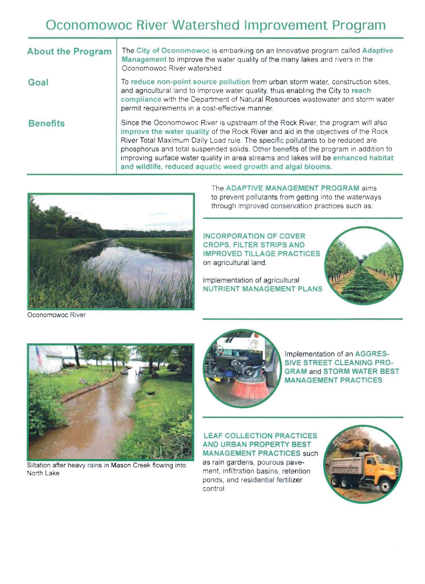# **Oconomowoc River Watershed Improvement Program**

| <b>About the Program</b> | The City of Oconomowoc is embarking on an innovative program called Adaptive<br>Management to improve the water quality of the many lakes and rivers in the<br>Oconomowoc River watershed.                                                                                                                                                                                                                                                                                                         |
|--------------------------|----------------------------------------------------------------------------------------------------------------------------------------------------------------------------------------------------------------------------------------------------------------------------------------------------------------------------------------------------------------------------------------------------------------------------------------------------------------------------------------------------|
| Goal                     | To reduce non-point source pollution from urban storm water, construction sites,<br>and agricultural land to improve water quality, thus enabling the City to reach<br>compliance with the Department of Natural Resources wastewater and storm water<br>permit requirements in a cost-effective manner.                                                                                                                                                                                           |
| <b>Benefits</b>          | Since the Oconomowoc River is upstream of the Rock River, the program will also<br>improve the water quality of the Rock River and aid in the objectives of the Rock<br>River Total Maximum Daily Load rule. The specific pollutants to be reduced are<br>phosphorus and total suspended solids. Other benefits of the program in addition to<br>improving surface water quality in area streams and lakes will be enhanced habitat<br>and wildlife, reduced aquatic weed growth and algal blooms. |



The **ADAPTIVE MANAGEMENT PROGRAM** aims to prevent pollutants from getting into the waterways through improved conservation practices such as:

**INCORPORATION OF COVER CROPS, FILTER STRIPS AND IMPROVED TILLAGE PRACTICES**  on agricultural land.

Implementation of agricultural **NUTRIENT MANAGEMENT PLANS** 





Siltation after heavy rains in Mason Creek flowing into North Lake



Implementation of an **AGGRES-SIVE STREET CLEANING PRO-GRAM** and **STORM WATER BEST MANAGEMENT PRACTICES** 

**LEAF COLLECTION PRACTICES AND URBAN PROPERTY BEST MANAGEMENT PRACTICES** such

as rain gardens, pourous pavement, infiltration basins, retention ponds, and residential fertilizer control